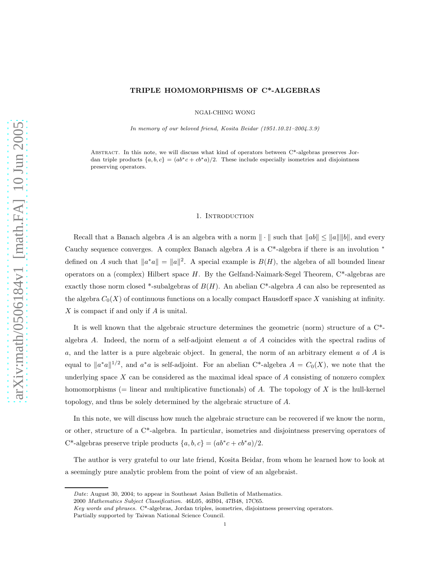# TRIPLE HOMOMORPHISMS OF C\*-ALGEBRAS

NGAI-CHING WONG

In memory of our beloved friend, Kosita Beidar (1951.10.21–2004.3.9)

Abstract. In this note, we will discuss what kind of operators between C\*-algebras preserves Jordan triple products  ${a, b, c} = (ab^*c + cb^*a)/2$ . These include especially isometries and disjointness preserving operators.

## 1. INTRODUCTION

Recall that a Banach algebra A is an algebra with a norm  $\|\cdot\|$  such that  $\|ab\| \le \|a\| \|b\|$ , and every Cauchy sequence converges. A complex Banach algebra A is a  $C^*$ -algebra if there is an involution  $*$ defined on A such that  $||a^*a|| = ||a||^2$ . A special example is  $B(H)$ , the algebra of all bounded linear operators on a (complex) Hilbert space  $H$ . By the Gelfand-Naimark-Segel Theorem,  $C^*$ -algebras are exactly those norm closed \*-subalgebras of  $B(H)$ . An abelian C\*-algebra A can also be represented as the algebra  $C_0(X)$  of continuous functions on a locally compact Hausdorff space X vanishing at infinity. X is compact if and only if A is unital.

It is well known that the algebraic structure determines the geometric (norm) structure of a C\* algebra A. Indeed, the norm of a self-adjoint element  $a$  of A coincides with the spectral radius of a, and the latter is a pure algebraic object. In general, the norm of an arbitrary element  $a$  of  $A$  is equal to  $||a^*a||^{1/2}$ , and  $a^*a$  is self-adjoint. For an abelian C<sup>\*</sup>-algebra  $A = C_0(X)$ , we note that the underlying space  $X$  can be considered as the maximal ideal space of  $A$  consisting of nonzero complex homomorphisms (= linear and multiplicative functionals) of A. The topology of X is the hull-kernel topology, and thus be solely determined by the algebraic structure of A.

In this note, we will discuss how much the algebraic structure can be recovered if we know the norm, or other, structure of a C\*-algebra. In particular, isometries and disjointness preserving operators of C<sup>\*</sup>-algebras preserve triple products  $\{a, b, c\} = (ab^*c + cb^*a)/2$ .

The author is very grateful to our late friend, Kosita Beidar, from whom he learned how to look at a seemingly pure analytic problem from the point of view of an algebraist.

Date: August 30, 2004; to appear in Southeast Asian Bulletin of Mathematics.

<sup>2000</sup> Mathematics Subject Classification. 46L05, 46B04, 47B48, 17C65.

Key words and phrases. C\*-algebras, Jordan triples, isometries, disjointness preserving operators.

Partially supported by Taiwan National Science Council.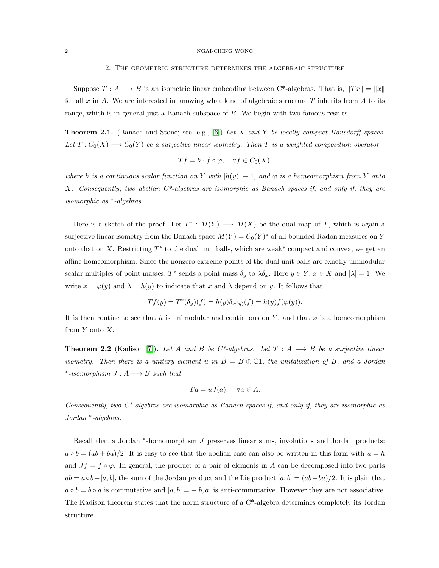### 2 NGAI-CHING WONG

### 2. The geometric structure determines the algebraic structure

Suppose  $T : A \longrightarrow B$  is an isometric linear embedding between C\*-algebras. That is,  $||Tx|| = ||x||$ for all x in A. We are interested in knowing what kind of algebraic structure T inherits from A to its range, which is in general just a Banach subspace of B. We begin with two famous results.

**Theorem 2.1.** (Banach and Stone; see, e.g., [\[6\]](#page-5-0)) Let X and Y be locally compact Hausdorff spaces. Let  $T: C_0(X) \longrightarrow C_0(Y)$  be a surjective linear isometry. Then T is a weighted composition operator

$$
Tf = h \cdot f \circ \varphi, \quad \forall f \in C_0(X),
$$

where h is a continuous scalar function on Y with  $|h(y)| \equiv 1$ , and  $\varphi$  is a homeomorphism from Y onto X. Consequently, two abelian  $C^*$ -algebras are isomorphic as Banach spaces if, and only if, they are isomorphic as <sup>∗</sup> -algebras.

Here is a sketch of the proof. Let  $T^* : M(Y) \longrightarrow M(X)$  be the dual map of T, which is again a surjective linear isometry from the Banach space  $M(Y) = C_0(Y)^*$  of all bounded Radon measures on Y onto that on X. Restricting  $T^*$  to the dual unit balls, which are weak\* compact and convex, we get an affine homeomorphism. Since the nonzero extreme points of the dual unit balls are exactly unimodular scalar multiples of point masses,  $T^*$  sends a point mass  $\delta_y$  to  $\lambda \delta_x$ . Here  $y \in Y$ ,  $x \in X$  and  $|\lambda| = 1$ . We write  $x = \varphi(y)$  and  $\lambda = h(y)$  to indicate that x and  $\lambda$  depend on y. It follows that

$$
Tf(y) = T^*(\delta_y)(f) = h(y)\delta_{\varphi(y)}(f) = h(y)f(\varphi(y)).
$$

It is then routine to see that h is unimodular and continuous on Y, and that  $\varphi$  is a homeomorphism from  $Y$  onto  $X$ .

**Theorem 2.2** (Kadison [\[7\]](#page-5-1)). Let A and B be C\*-algebras. Let  $T : A \longrightarrow B$  be a surjective linear isometry. Then there is a unitary element u in  $\tilde{B} = B \oplus \mathbb{C}1$ , the unitalization of B, and a Jordan \*-isomorphism  $J: A \longrightarrow B$  such that

$$
Ta = uJ(a), \quad \forall a \in A.
$$

Consequently, two  $C^*$ -algebras are isomorphic as Banach spaces if, and only if, they are isomorphic as Jordan <sup>∗</sup> -algebras.

Recall that a Jordan \*-homomorphism J preserves linear sums, involutions and Jordan products:  $a \circ b = (ab + ba)/2$ . It is easy to see that the abelian case can also be written in this form with  $u = h$ and  $Jf = f \circ \varphi$ . In general, the product of a pair of elements in A can be decomposed into two parts  $ab = a \circ b + [a, b]$ , the sum of the Jordan product and the Lie product  $[a, b] = (ab - ba)/2$ . It is plain that  $a \circ b = b \circ a$  is commutative and  $[a, b] = -[b, a]$  is anti-commutative. However they are not associative. The Kadison theorem states that the norm structure of a C\*-algebra determines completely its Jordan structure.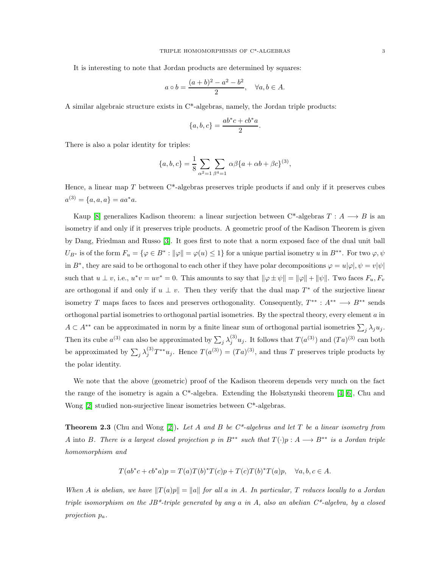It is interesting to note that Jordan products are determined by squares:

$$
a \circ b = \frac{(a+b)^2 - a^2 - b^2}{2}
$$
,  $\forall a, b \in A$ .

A similar algebraic structure exists in C\*-algebras, namely, the Jordan triple products:

$$
\{a, b, c\} = \frac{ab^*c + cb^*a}{2}.
$$

There is also a polar identity for triples:

$$
\{a, b, c\} = \frac{1}{8} \sum_{\alpha^2 = 1} \sum_{\beta^4 = 1} \alpha \beta \{a + \alpha b + \beta c\}^{(3)},
$$

Hence, a linear map  $T$  between  $C^*$ -algebras preserves triple products if and only if it preserves cubes  $a^{(3)} = \{a, a, a\} = aa^*a.$ 

Kaup [\[8\]](#page-5-2) generalizes Kadison theorem: a linear surjection between  $C^*$ -algebras  $T : A \longrightarrow B$  is an isometry if and only if it preserves triple products. A geometric proof of the Kadison Theorem is given by Dang, Friedman and Russo [\[3\]](#page-5-3). It goes first to note that a norm exposed face of the dual unit ball  $U_{B^*}$  is of the form  $F_u = \{ \varphi \in B^* : ||\varphi|| = \varphi(u) \leq 1 \}$  for a unique partial isometry u in  $B^{**}$ . For two  $\varphi, \psi$ in B<sup>∗</sup>, they are said to be orthogonal to each other if they have polar decompositions  $\varphi = u|\varphi|, \psi = v|\psi|$ such that  $u \perp v$ , i.e.,  $u^*v = uv^* = 0$ . This amounts to say that  $\|\varphi \pm \psi\| = \|\varphi\| + \|\psi\|$ . Two faces  $F_u, F_v$ are orthogonal if and only if  $u \perp v$ . Then they verify that the dual map  $T^*$  of the surjective linear isometry T maps faces to faces and preserves orthogonality. Consequently,  $T^{**} : A^{**} \longrightarrow B^{**}$  sends orthogonal partial isometries to orthogonal partial isometries. By the spectral theory, every element  $a$  in  $A \subset A^{**}$  can be approximated in norm by a finite linear sum of orthogonal partial isometries  $\sum_j \lambda_j u_j$ . Then its cube  $a^{(3)}$  can also be approximated by  $\sum_j \lambda_j^{(3)} u_j$ . It follows that  $T(a^{(3)})$  and  $(Ta)^{(3)}$  can both be approximated by  $\sum_j \lambda_j^{(3)} T^{**} u_j$ . Hence  $T(a^{(3)}) = (Ta)^{(3)}$ , and thus T preserves triple products by the polar identity.

We note that the above (geometric) proof of the Kadison theorem depends very much on the fact the range of the isometry is again a  $C^*$ -algebra. Extending the Holsztynski theorem [\[4,](#page-5-4) [6\]](#page-5-0), Chu and Wong [\[2\]](#page-5-5) studied non-surjective linear isometries between C\*-algebras.

**Theorem 2.3** (Chu and Wong [\[2\]](#page-5-5)). Let A and B be  $C^*$ -algebras and let T be a linear isometry from A into B. There is a largest closed projection p in  $B^{**}$  such that  $T(\cdot)p : A \longrightarrow B^{**}$  is a Jordan triple homomorphism and

$$
T(ab^*c+cb^*a)p = T(a)T(b)^*T(c)p + T(c)T(b)^*T(a)p, \quad \forall a, b, c \in A.
$$

When A is abelian, we have  $||T(a)p|| = ||a||$  for all a in A. In particular, T reduces locally to a Jordan triple isomorphism on the JB<sup>\*</sup>-triple generated by any a in A, also an abelian  $C^*$ -algebra, by a closed projection pa.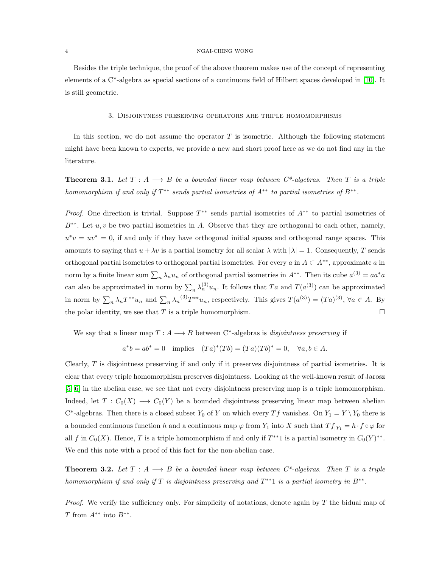#### 4 NGAI-CHING WONG

Besides the triple technique, the proof of the above theorem makes use of the concept of representing elements of a C\*-algebra as special sections of a continuous field of Hilbert spaces developed in [\[10\]](#page-5-6). It is still geometric.

## 3. Disjointness preserving operators are triple homomorphisms

In this section, we do not assume the operator  $T$  is isometric. Although the following statement might have been known to experts, we provide a new and short proof here as we do not find any in the literature.

**Theorem 3.1.** Let  $T : A \longrightarrow B$  be a bounded linear map between  $C^*$ -algebras. Then T is a triple homomorphism if and only if  $T^{**}$  sends partial isometries of  $A^{**}$  to partial isometries of  $B^{**}$ .

*Proof.* One direction is trivial. Suppose  $T^{**}$  sends partial isometries of  $A^{**}$  to partial isometries of  $B^{**}$ . Let  $u, v$  be two partial isometries in A. Observe that they are orthogonal to each other, namely,  $u^*v = uv^* = 0$ , if and only if they have orthogonal initial spaces and orthogonal range spaces. This amounts to saying that  $u + \lambda v$  is a partial isometry for all scalar  $\lambda$  with  $|\lambda| = 1$ . Consequently, T sends orthogonal partial isometries to orthogonal partial isometries. For every a in  $A \subset A^{**}$ , approximate a in norm by a finite linear sum  $\sum_n \lambda_n u_n$  of orthogonal partial isometries in  $A^{**}$ . Then its cube  $a^{(3)} = aa^*a$ can also be approximated in norm by  $\sum_n \lambda_n^{(3)} u_n$ . It follows that Ta and  $T(a^{(3)})$  can be approximated in norm by  $\sum_n \lambda_n T^{**} u_n$  and  $\sum_n \lambda_n^{(3)} T^{**} u_n$ , respectively. This gives  $T(a^{(3)}) = (Ta)^{(3)}$ ,  $\forall a \in A$ . By the polar identity, we see that T is a triple homomorphism.  $\square$ 

We say that a linear map  $T : A \longrightarrow B$  between C<sup>\*</sup>-algebras is *disjointness preserving* if

$$
a^*b = ab^* = 0
$$
 implies  $(Ta)^*(Tb) = (Ta)(Tb)^* = 0$ ,  $\forall a, b \in A$ .

Clearly,  $T$  is disjointness preserving if and only if it preserves disjointness of partial isometries. It is clear that every triple homomorphism preserves disjointness. Looking at the well-known result of Jarosz [\[5,](#page-5-7) [6\]](#page-5-0) in the abelian case, we see that not every disjointness preserving map is a triple homomorphism. Indeed, let  $T: C_0(X) \longrightarrow C_0(Y)$  be a bounded disjointness preserving linear map between abelian C\*-algebras. Then there is a closed subset  $Y_0$  of Y on which every Tf vanishes. On  $Y_1 = Y \ Y_0$  there is a bounded continuous function h and a continuous map  $\varphi$  from  $Y_1$  into X such that  $Tf_{|Y_1} = h \cdot f \circ \varphi$  for all f in  $C_0(X)$ . Hence, T is a triple homomorphism if and only if  $T^{**}1$  is a partial isometry in  $C_0(Y)^{**}$ . We end this note with a proof of this fact for the non-abelian case.

**Theorem 3.2.** Let  $T : A \longrightarrow B$  be a bounded linear map between  $C^*$ -algebras. Then  $T$  is a triple homomorphism if and only if T is disjointness preserving and  $T^{**}$  is a partial isometry in  $B^{**}$ .

Proof. We verify the sufficiency only. For simplicity of notations, denote again by T the bidual map of T from  $A^{**}$  into  $B^{**}$ .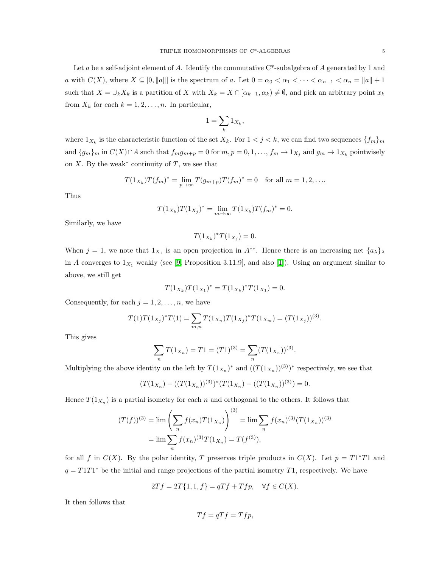Let a be a self-adjoint element of A. Identify the commutative  $C^*$ -subalgebra of A generated by 1 and a with  $C(X)$ , where  $X \subseteq [0, \|a\|]$  is the spectrum of a. Let  $0 = \alpha_0 < \alpha_1 < \cdots < \alpha_{n-1} < \alpha_n = \|a\| + 1$ such that  $X = \bigcup_k X_k$  is a partition of X with  $X_k = X \cap [\alpha_{k-1}, \alpha_k) \neq \emptyset$ , and pick an arbitrary point  $x_k$ from  $X_k$  for each  $k = 1, 2, \ldots, n$ . In particular,

$$
1 = \sum_{k} 1_{X_k},
$$

where  $1_{X_k}$  is the characteristic function of the set  $X_k$ . For  $1 \lt j \lt k$ , we can find two sequences  $\{f_m\}_m$ and  $\{g_m\}_m$  in  $C(X) \cap A$  such that  $f_m g_{m+p} = 0$  for  $m, p = 0, 1, \ldots, f_m \to 1_{X_j}$  and  $g_m \to 1_{X_k}$  pointwisely on  $X$ . By the weak<sup>\*</sup> continuity of  $T$ , we see that

$$
T(1_{X_k})T(f_m)^* = \lim_{p \to \infty} T(g_{m+p})T(f_m)^* = 0 \text{ for all } m = 1, 2, ...
$$

Thus

$$
T(1_{X_k})T(1_{X_j})^* = \lim_{m \to \infty} T(1_{X_k})T(f_m)^* = 0.
$$

Similarly, we have

 $T(1_{X_k})^*T(1_{X_j})=0.$ 

When  $j = 1$ , we note that  $1_{X_1}$  is an open projection in  $A^{**}$ . Hence there is an increasing net  $\{a_{\lambda}\}_{\lambda}$ in A converges to  $1_{X_1}$  weakly (see [\[9,](#page-5-8) Proposition 3.11.9], and also [\[1\]](#page-5-9)). Using an argument similar to above, we still get

$$
T(1_{X_k})T(1_{X_1})^* = T(1_{X_k})^*T(1_{X_1}) = 0.
$$

Consequently, for each  $j = 1, 2, \ldots, n$ , we have

$$
T(1)T(1_{X_j})^*T(1) = \sum_{m,n} T(1_{X_n})T(1_{X_j})^*T(1_{X_m}) = (T(1_{X_j}))^{(3)}.
$$

This gives

$$
\sum_{n} T(1_{X_n}) = T1 = (T1)^{(3)} = \sum_{n} (T(1_{X_n}))^{(3)}
$$

.

Multiplying the above identity on the left by  $T(1_{X_n})^*$  and  $((T(1_{X_n}))^{(3)})^*$  respectively, we see that

$$
(T(1_{X_n}) - ((T(1_{X_n}))^{(3)})^*(T(1_{X_n}) - ((T(1_{X_n}))^{(3)}) = 0.
$$

Hence  $T(1_{X_n})$  is a partial isometry for each n and orthogonal to the others. It follows that

$$
(T(f))^{(3)} = \lim \left(\sum_{n} f(x_n) T(1_{X_n})\right)^{(3)} = \lim \sum_{n} f(x_n)^{(3)} (T(1_{X_n}))^{(3)}
$$

$$
= \lim \sum_{n} f(x_n)^{(3)} T(1_{X_n}) = T(f^{(3)}),
$$

for all f in  $C(X)$ . By the polar identity, T preserves triple products in  $C(X)$ . Let  $p = T1^*T1$  and  $q = T1T1^*$  be the initial and range projections of the partial isometry T1, respectively. We have

$$
2Tf = 2T\{1, 1, f\} = qTf + Tfp, \quad \forall f \in C(X).
$$

It then follows that

$$
Tf = qTf = Tfp,
$$